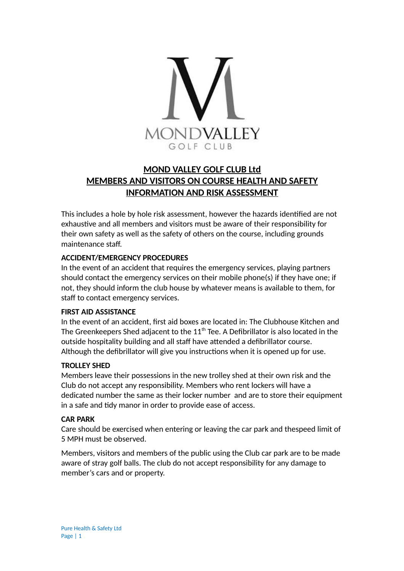

## **MOND VALLEY GOLF CLUB Ltd MEMBERS AND VISITORS ON COURSE HEALTH AND SAFETY INFORMATION AND RISK ASSESSMENT**

This includes a hole by hole risk assessment, however the hazards identified are not exhaustive and all members and visitors must be aware of their responsibility for their own safety as well as the safety of others on the course, including grounds maintenance staff.

#### **ACCIDENT/EMERGENCY PROCEDURES**

In the event of an accident that requires the emergency services, playing partners should contact the emergency services on their mobile phone(s) if they have one; if not, they should inform the club house by whatever means is available to them, for staff to contact emergency services.

#### **FIRST AID ASSISTANCE**

In the event of an accident, first aid boxes are located in: The Clubhouse Kitchen and The Greenkeepers Shed adjacent to the  $11<sup>th</sup>$  Tee. A Defibrillator is also located in the outside hospitality building and all staff have attended a defibrillator course. Although the defibrillator will give you instructions when it is opened up for use.

#### **TROLLEY SHED**

Members leave their possessions in the new trolley shed at their own risk and the Club do not accept any responsibility. Members who rent lockers will have a dedicated number the same as their locker number and are to store their equipment in a safe and tidy manor in order to provide ease of access.

#### **CAR PARK**

Care should be exercised when entering or leaving the car park and thespeed limit of 5 MPH must be observed.

Members, visitors and members of the public using the Club car park are to be made aware of stray golf balls. The club do not accept responsibility for any damage to member's cars and or property.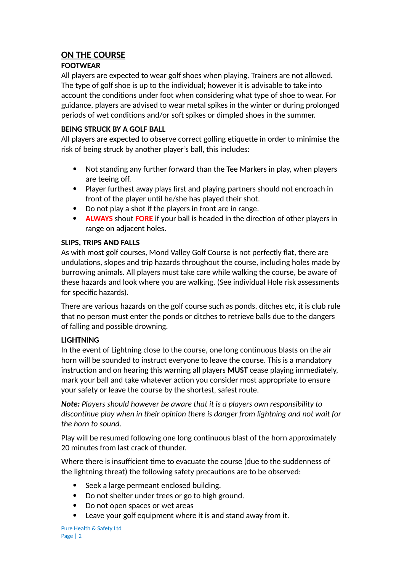## **ON THE COURSE**

## **FOOTWEAR**

All players are expected to wear golf shoes when playing. Trainers are not allowed. The type of golf shoe is up to the individual; however it is advisable to take into account the conditions under foot when considering what type of shoe to wear. For guidance, players are advised to wear metal spikes in the winter or during prolonged periods of wet conditions and/or soft spikes or dimpled shoes in the summer.

## **BEING STRUCK BY A GOLF BALL**

All players are expected to observe correct golfing etiquette in order to minimise the risk of being struck by another player's ball, this includes:

- Not standing any further forward than the Tee Markers in play, when players are teeing off.
- Player furthest away plays first and playing partners should not encroach in front of the player until he/she has played their shot.
- Do not play a shot if the players in front are in range.
- **ALWAYS** shout **FORE** if your ball is headed in the direction of other players in range on adjacent holes.

## **SLIPS, TRIPS AND FALLS**

As with most golf courses, Mond Valley Golf Course is not perfectly flat, there are undulations, slopes and trip hazards throughout the course, including holes made by burrowing animals. All players must take care while walking the course, be aware of these hazards and look where you are walking. (See individual Hole risk assessments for specific hazards).

There are various hazards on the golf course such as ponds, ditches etc, it is club rule that no person must enter the ponds or ditches to retrieve balls due to the dangers of falling and possible drowning.

## **LIGHTNING**

In the event of Lightning close to the course, one long continuous blasts on the air horn will be sounded to instruct everyone to leave the course. This is a mandatory instruction and on hearing this warning all players **MUST** cease playing immediately, mark your ball and take whatever action you consider most appropriate to ensure your safety or leave the course by the shortest, safest route.

*Note: Players should however be aware that it is a players own responsibility to discontinue play when in their opinion there is danger from lightning and not wait for the horn to sound.*

Play will be resumed following one long continuous blast of the horn approximately 20 minutes from last crack of thunder.

Where there is insufficient time to evacuate the course (due to the suddenness of the lightning threat) the following safety precautions are to be observed:

- Seek a large permeant enclosed building.
- Do not shelter under trees or go to high ground.
- Do not open spaces or wet areas
- Leave your golf equipment where it is and stand away from it.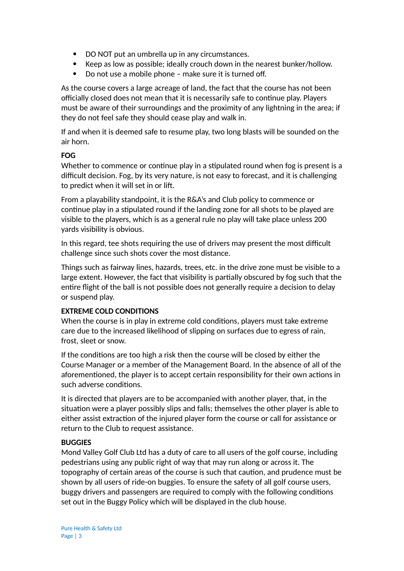- DO NOT put an umbrella up in any circumstances.
- Keep as low as possible; ideally crouch down in the nearest bunker/hollow.
- Do not use a mobile phone make sure it is turned off.

As the course covers a large acreage of land, the fact that the course has not been officially closed does not mean that it is necessarily safe to continue play. Players must be aware of their surroundings and the proximity of any lightning in the area; if they do not feel safe they should cease play and walk in.

If and when it is deemed safe to resume play, two long blasts will be sounded on the air horn.

#### **FOG**

Whether to commence or continue play in a stipulated round when fog is present is a difficult decision. Fog, by its very nature, is not easy to forecast, and it is challenging to predict when it will set in or lift.

From a playability standpoint, it is the R&A's and Club policy to commence or continue play in a stipulated round if the landing zone for all shots to be played are visible to the players, which is as a general rule no play will take place unless 200 yards visibility is obvious.

In this regard, tee shots requiring the use of drivers may present the most difficult challenge since such shots cover the most distance.

Things such as fairway lines, hazards, trees, etc. in the drive zone must be visible to a large extent. However, the fact that visibility is partially obscured by fog such that the entire flight of the ball is not possible does not generally require a decision to delay or suspend play.

#### **EXTREME COLD CONDITIONS**

When the course is in play in extreme cold conditions, players must take extreme care due to the increased likelihood of slipping on surfaces due to egress of rain, frost, sleet or snow.

If the conditions are too high a risk then the course will be closed by either the Course Manager or a member of the Management Board. In the absence of all of the aforementioned, the player is to accept certain responsibility for their own actions in such adverse conditions.

It is directed that players are to be accompanied with another player, that, in the situation were a player possibly slips and falls; themselves the other player is able to either assist extraction of the injured player form the course or call for assistance or return to the Club to request assistance.

#### **BUGGIES**

Mond Valley Golf Club Ltd has a duty of care to all users of the golf course, including pedestrians using any public right of way that may run along or across it. The topography of certain areas of the course is such that caution, and prudence must be shown by all users of ride-on buggies. To ensure the safety of all golf course users, buggy drivers and passengers are required to comply with the following conditions set out in the Buggy Policy which will be displayed in the club house.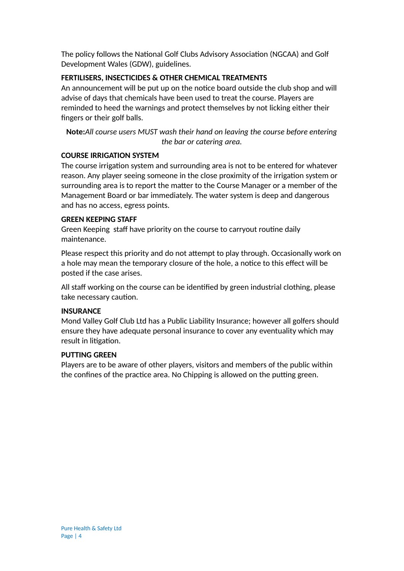The policy follows the National Golf Clubs Advisory Association (NGCAA) and Golf Development Wales (GDW), guidelines.

#### **FERTILISERS, INSECTICIDES & OTHER CHEMICAL TREATMENTS**

An announcement will be put up on the notice board outside the club shop and will advise of days that chemicals have been used to treat the course. Players are reminded to heed the warnings and protect themselves by not licking either their fingers or their golf balls.

**Note:***All course users MUST wash their hand on leaving the course before entering the bar or catering area.*

#### **COURSE IRRIGATION SYSTEM**

The course irrigation system and surrounding area is not to be entered for whatever reason. Any player seeing someone in the close proximity of the irrigation system or surrounding area is to report the matter to the Course Manager or a member of the Management Board or bar immediately. The water system is deep and dangerous and has no access, egress points.

#### **GREEN KEEPING STAFF**

Green Keeping staff have priority on the course to carryout routine daily maintenance.

Please respect this priority and do not attempt to play through. Occasionally work on a hole may mean the temporary closure of the hole, a notice to this effect will be posted if the case arises.

All staff working on the course can be identified by green industrial clothing, please take necessary caution.

#### **INSURANCE**

Mond Valley Golf Club Ltd has a Public Liability Insurance; however all golfers should ensure they have adequate personal insurance to cover any eventuality which may result in litigation.

#### **PUTTING GREEN**

Players are to be aware of other players, visitors and members of the public within the confines of the practice area. No Chipping is allowed on the putting green.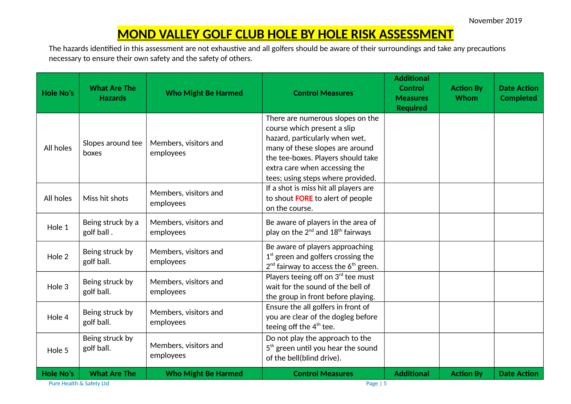## **MOND VALLEY GOLF CLUB HOLE BY HOLE RISK ASSESSMENT**

The hazards identified in this assessment are not exhaustive and all golfers should be aware of their surroundings and take any precautions necessary to ensure their own safety and the safety of others.

| <b>Hole No's</b> | <b>What Are The</b><br><b>Hazards</b> | <b>Who Might Be Harmed</b>         | <b>Control Measures</b>                                                                                                                                                                                                                          |                   | <b>Action By</b><br>Whom | <b>Date Action</b><br><b>Completed</b> |
|------------------|---------------------------------------|------------------------------------|--------------------------------------------------------------------------------------------------------------------------------------------------------------------------------------------------------------------------------------------------|-------------------|--------------------------|----------------------------------------|
| All holes        | Slopes around tee<br>boxes            | Members, visitors and<br>employees | There are numerous slopes on the<br>course which present a slip<br>hazard, particularly when wet,<br>many of these slopes are around<br>the tee-boxes. Players should take<br>extra care when accessing the<br>tees; using steps where provided. |                   |                          |                                        |
| All holes        | Miss hit shots                        | Members, visitors and<br>employees | If a shot is miss hit all players are<br>to shout FORE to alert of people<br>on the course.                                                                                                                                                      |                   |                          |                                        |
| Hole 1           | Being struck by a<br>golf ball.       | Members, visitors and<br>employees | Be aware of players in the area of<br>play on the 2 <sup>nd</sup> and 18 <sup>th</sup> fairways                                                                                                                                                  |                   |                          |                                        |
| Hole 2           | Being struck by<br>golf ball.         | Members, visitors and<br>employees | Be aware of players approaching<br>$1st$ green and golfers crossing the<br>$2nd$ fairway to access the $6th$ green.                                                                                                                              |                   |                          |                                        |
| Hole 3           | Being struck by<br>golf ball.         | Members, visitors and<br>employees | Players teeing off on 3rd tee must<br>wait for the sound of the bell of<br>the group in front before playing.                                                                                                                                    |                   |                          |                                        |
| Hole 4           | Being struck by<br>golf ball.         | Members, visitors and<br>employees | Ensure the all golfers in front of<br>you are clear of the dogleg before<br>teeing off the 4 <sup>th</sup> tee.                                                                                                                                  |                   |                          |                                        |
| Hole 5           | Being struck by<br>golf ball.         | Members, visitors and<br>employees | Do not play the approach to the<br>5 <sup>th</sup> green until you hear the sound<br>of the bell(blind drive).                                                                                                                                   |                   |                          |                                        |
| <b>Hole No's</b> | <b>What Are The</b>                   | <b>Who Might Be Harmed</b>         | <b>Control Measures</b>                                                                                                                                                                                                                          | <b>Additional</b> | <b>Action By</b>         | <b>Date Action</b>                     |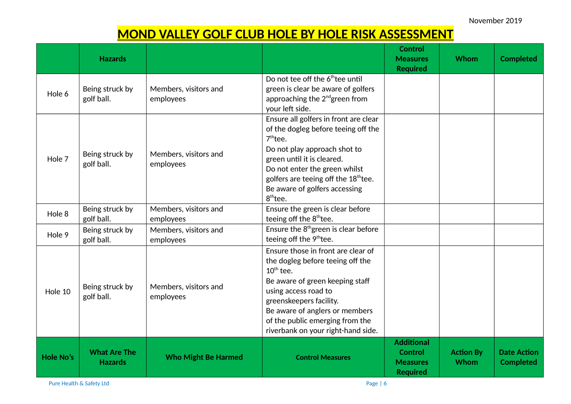November 2019

# **MOND VALLEY GOLF CLUB HOLE BY HOLE RISK ASSESSMENT**

|                  | <b>Hazards</b>                        |                                    |                                                                                                                                                                                                                                                                                                        | <b>Control</b><br><b>Measures</b><br><b>Required</b>                      | <b>Whom</b>                     | <b>Completed</b>                       |
|------------------|---------------------------------------|------------------------------------|--------------------------------------------------------------------------------------------------------------------------------------------------------------------------------------------------------------------------------------------------------------------------------------------------------|---------------------------------------------------------------------------|---------------------------------|----------------------------------------|
| Hole 6           | Being struck by<br>golf ball.         | Members, visitors and<br>employees | Do not tee off the 6 <sup>th</sup> tee until<br>green is clear be aware of golfers<br>approaching the 2 <sup>nd</sup> green from<br>your left side.                                                                                                                                                    |                                                                           |                                 |                                        |
| Hole 7           | Being struck by<br>golf ball.         | Members, visitors and<br>employees | Ensure all golfers in front are clear<br>of the dogleg before teeing off the<br>$7th$ tee.<br>Do not play approach shot to<br>green until it is cleared.<br>Do not enter the green whilst<br>golfers are teeing off the 18 <sup>th</sup> tee.<br>Be aware of golfers accessing<br>8 <sup>th</sup> tee. |                                                                           |                                 |                                        |
| Hole 8           | Being struck by<br>golf ball.         | Members, visitors and<br>employees | Ensure the green is clear before<br>teeing off the 8 <sup>th</sup> tee.                                                                                                                                                                                                                                |                                                                           |                                 |                                        |
| Hole 9           | Being struck by<br>golf ball.         | Members, visitors and<br>employees | Ensure the $8th$ green is clear before<br>teeing off the 9 <sup>th</sup> tee.                                                                                                                                                                                                                          |                                                                           |                                 |                                        |
| Hole 10          | Being struck by<br>golf ball.         | Members, visitors and<br>employees | Ensure those in front are clear of<br>the dogleg before teeing off the<br>$10^{th}$ tee.<br>Be aware of green keeping staff<br>using access road to<br>greenskeepers facility.<br>Be aware of anglers or members<br>of the public emerging from the<br>riverbank on your right-hand side.              |                                                                           |                                 |                                        |
| <b>Hole No's</b> | <b>What Are The</b><br><b>Hazards</b> | <b>Who Might Be Harmed</b>         | <b>Control Measures</b>                                                                                                                                                                                                                                                                                | <b>Additional</b><br><b>Control</b><br><b>Measures</b><br><b>Required</b> | <b>Action By</b><br><b>Whom</b> | <b>Date Action</b><br><b>Completed</b> |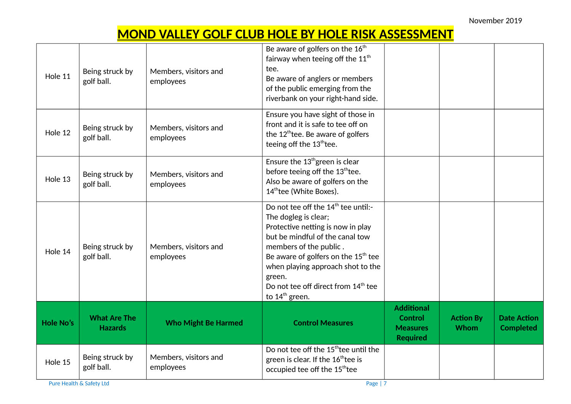November 2019

# **MOND VALLEY GOLF CLUB HOLE BY HOLE RISK ASSESSMENT**

| Hole 11          | Being struck by<br>golf ball.         | Members, visitors and<br>employees | Be aware of golfers on the 16 <sup>th</sup><br>fairway when teeing off the 11 <sup>th</sup><br>tee.<br>Be aware of anglers or members<br>of the public emerging from the<br>riverbank on your right-hand side.                                                                                                                           |                                                                           |                          |                                        |
|------------------|---------------------------------------|------------------------------------|------------------------------------------------------------------------------------------------------------------------------------------------------------------------------------------------------------------------------------------------------------------------------------------------------------------------------------------|---------------------------------------------------------------------------|--------------------------|----------------------------------------|
| Hole 12          | Being struck by<br>golf ball.         | Members, visitors and<br>employees | Ensure you have sight of those in<br>front and it is safe to tee off on<br>the 12 <sup>th</sup> tee. Be aware of golfers<br>teeing off the 13 <sup>th</sup> tee.                                                                                                                                                                         |                                                                           |                          |                                        |
| Hole 13          | Being struck by<br>golf ball.         | Members, visitors and<br>employees | Ensure the 13 <sup>th</sup> green is clear<br>before teeing off the 13th tee.<br>Also be aware of golfers on the<br>14thtee (White Boxes).                                                                                                                                                                                               |                                                                           |                          |                                        |
| Hole 14          | Being struck by<br>golf ball.         | Members, visitors and<br>employees | Do not tee off the 14 <sup>th</sup> tee until:-<br>The dogleg is clear;<br>Protective netting is now in play<br>but be mindful of the canal tow<br>members of the public.<br>Be aware of golfers on the $15th$ tee<br>when playing approach shot to the<br>green.<br>Do not tee off direct from 14 <sup>th</sup> tee<br>to $14th$ green. |                                                                           |                          |                                        |
| <b>Hole No's</b> | <b>What Are The</b><br><b>Hazards</b> | <b>Who Might Be Harmed</b>         | <b>Control Measures</b>                                                                                                                                                                                                                                                                                                                  | <b>Additional</b><br><b>Control</b><br><b>Measures</b><br><b>Required</b> | <b>Action By</b><br>Whom | <b>Date Action</b><br><b>Completed</b> |
| Hole 15          | Being struck by<br>golf ball.         | Members, visitors and<br>employees | Do not tee off the 15 <sup>th</sup> tee until the<br>green is clear. If the 16 <sup>th</sup> tee is<br>occupied tee off the 15 <sup>th</sup> tee                                                                                                                                                                                         |                                                                           |                          |                                        |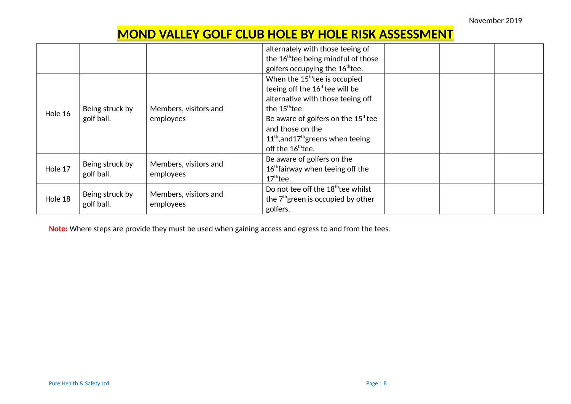## **MOND VALLEY GOLF CLUB HOLE BY HOLE RISK ASSESSMENT**

|         |                               |                                    | alternately with those teeing of<br>the 16 <sup>th</sup> tee being mindful of those<br>golfers occupying the 16 <sup>th</sup> tee.                                                                                                                                                                           |  |  |
|---------|-------------------------------|------------------------------------|--------------------------------------------------------------------------------------------------------------------------------------------------------------------------------------------------------------------------------------------------------------------------------------------------------------|--|--|
| Hole 16 | Being struck by<br>golf ball. | Members, visitors and<br>employees | When the 15 <sup>th</sup> tee is occupied<br>teeing off the 16 <sup>th</sup> tee will be<br>alternative with those teeing off<br>the $15^{\text{th}}$ tee.<br>Be aware of golfers on the 15 <sup>th</sup> tee<br>and those on the<br>$11th$ , and $17th$ greens when teeing<br>off the 16 <sup>th</sup> tee. |  |  |
| Hole 17 | Being struck by<br>golf ball. | Members, visitors and<br>employees | Be aware of golfers on the<br>16 <sup>th</sup> fairway when teeing off the<br>$17th$ tee.                                                                                                                                                                                                                    |  |  |
| Hole 18 | Being struck by<br>golf ball. | Members, visitors and<br>employees | Do not tee off the 18 <sup>th</sup> tee whilst<br>the 7 <sup>th</sup> green is occupied by other<br>golfers.                                                                                                                                                                                                 |  |  |

**Note:** Where steps are provide they must be used when gaining access and egress to and from the tees.